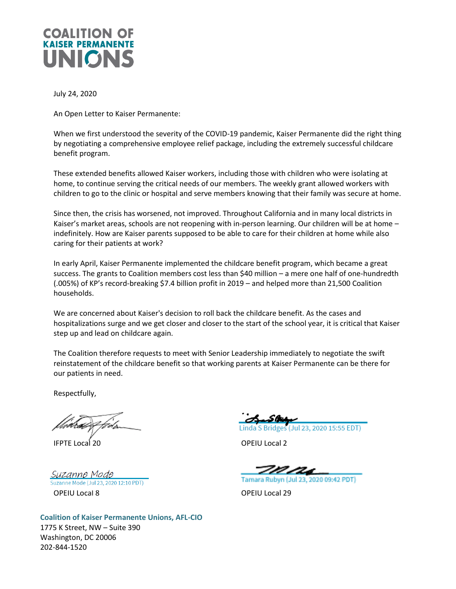

July 24, 2020

An Open Letter to Kaiser Permanente:

When we first understood the severity of the COVID-19 pandemic, Kaiser Permanente did the right thing by negotiating a comprehensive employee relief package, including the extremely successful childcare benefit program.

These extended benefits allowed Kaiser workers, including those with children who were isolating at home, to continue serving the critical needs of our members. The weekly grant allowed workers with children to go to the clinic or hospital and serve members knowing that their family was secure at home.

Since then, the crisis has worsened, not improved. Throughout California and in many local districts in Kaiser's market areas, schools are not reopening with in-person learning. Our children will be at home – indefinitely. How are Kaiser parents supposed to be able to care for their children at home while also caring for their patients at work?

In early April, Kaiser Permanente implemented the childcare benefit program, which became a great success. The grants to Coalition members cost less than \$40 million – a mere one half of one-hundredth (.005%) of KP's record-breaking \$7.4 billion profit in 2019 – and helped more than 21,500 Coalition households.

We are concerned about Kaiser's decision to roll back the childcare benefit. As the cases and hospitalizations surge and we get closer and closer to the start of the school year, it is critical that Kaiser step up and lead on childcare again.

The Coalition therefore requests to meet with Senior Leadership immediately to negotiate the swift reinstatement of the childcare benefit so that working parents at Kaiser Permanente can be there for our patients in need.

Respectfully,

IFPTE Local 20 OPEIU Local 2

Suzanne Mode Suzanne Mode (Jul 23, 2020 12:10 PDT) OPEIU Local 8 OPEIU Local 29

Linda S Bridges (Jul 23, 2020 15:55 EDT)

Tamara Rubyn (Jul 23, 2020 09:42 PDT)

**Coalition of Kaiser Permanente Unions, AFL-CIO** 1775 K Street, NW – Suite 390 Washington, DC 20006 202-844-1520